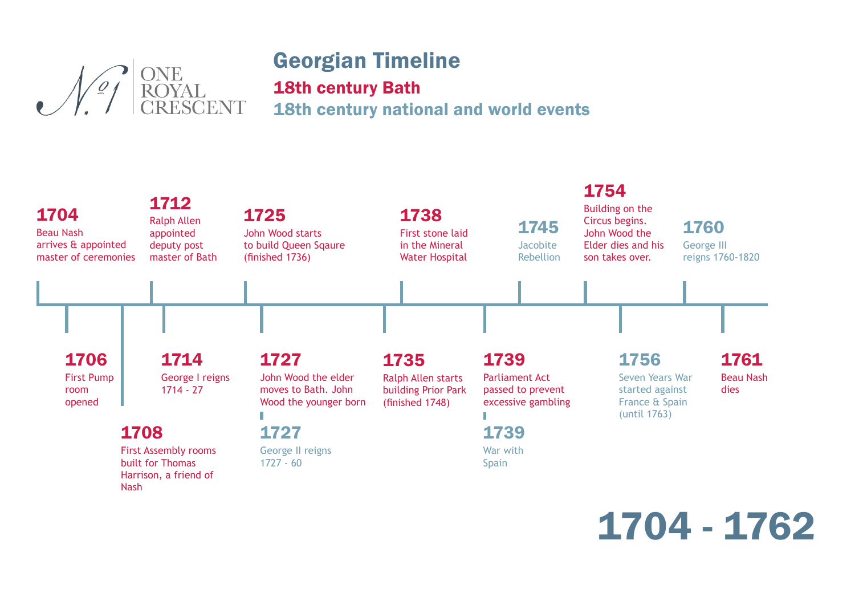# ONE<br>ROYAL<br>CRESCENT

#### Georgian Timeline 18th century Bath 18th century national and world events



## 1704 - 1762